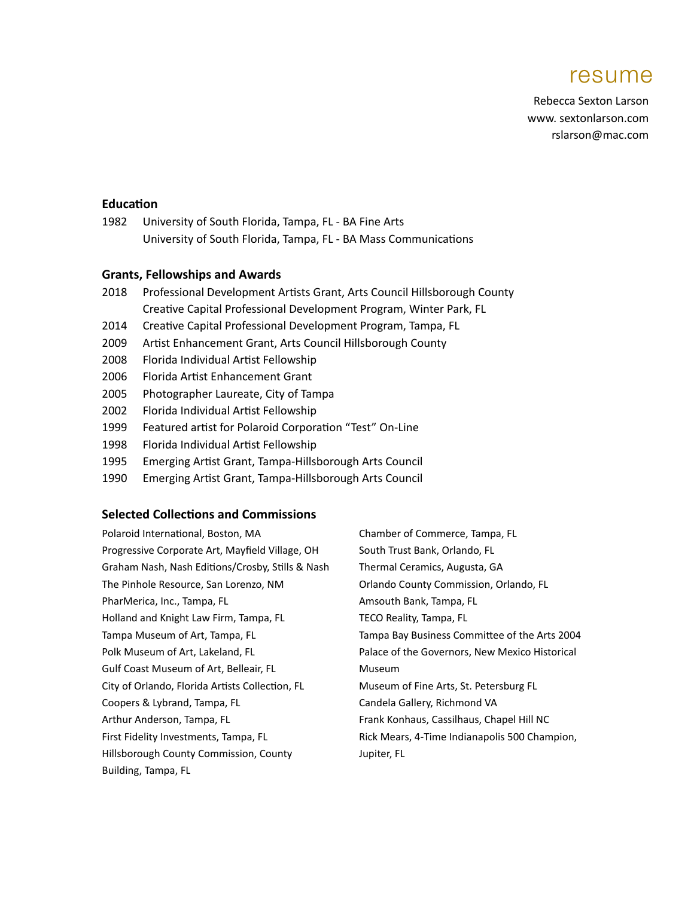# resume

Rebecca Sexton Larson www. sextonlarson.com rslarson@mac.com

## **Education**

1982 University of South Florida, Tampa, FL - BA Fine Arts University of South Florida, Tampa, FL - BA Mass Communications

## **Grants, Fellowships and Awards**

- 2018 Professional Development Artists Grant, Arts Council Hillsborough County Creative Capital Professional Development Program, Winter Park, FL
- 2014 Creative Capital Professional Development Program, Tampa, FL
- 2009 Artist Enhancement Grant, Arts Council Hillsborough County
- 2008 Florida Individual Artist Fellowship
- 2006 Florida Artist Enhancement Grant
- 2005 Photographer Laureate, City of Tampa
- 2002 Florida Individual Artist Fellowship
- 1999 Featured artist for Polaroid Corporation "Test" On-Line
- 1998 Florida Individual Artist Fellowship
- 1995 Emerging Artist Grant, Tampa-Hillsborough Arts Council
- 1990 Emerging Artist Grant, Tampa-Hillsborough Arts Council

# **Selected Collections and Commissions**

| Polaroid International, Boston, MA               | Chamber of Commerce, Tampa, FL                 |
|--------------------------------------------------|------------------------------------------------|
| Progressive Corporate Art, Mayfield Village, OH  | South Trust Bank, Orlando, FL                  |
| Graham Nash, Nash Editions/Crosby, Stills & Nash | Thermal Ceramics, Augusta, GA                  |
| The Pinhole Resource, San Lorenzo, NM            | Orlando County Commission, Orlando, FL         |
| PharMerica, Inc., Tampa, FL                      | Amsouth Bank, Tampa, FL                        |
| Holland and Knight Law Firm, Tampa, FL           | TECO Reality, Tampa, FL                        |
| Tampa Museum of Art, Tampa, FL                   | Tampa Bay Business Committee of the Arts 2004  |
| Polk Museum of Art, Lakeland, FL                 | Palace of the Governors, New Mexico Historical |
| Gulf Coast Museum of Art, Belleair, FL           | Museum                                         |
| City of Orlando, Florida Artists Collection, FL  | Museum of Fine Arts, St. Petersburg FL         |
| Coopers & Lybrand, Tampa, FL                     | Candela Gallery, Richmond VA                   |
| Arthur Anderson, Tampa, FL                       | Frank Konhaus, Cassilhaus, Chapel Hill NC      |
| First Fidelity Investments, Tampa, FL            | Rick Mears, 4-Time Indianapolis 500 Champion,  |
| Hillsborough County Commission, County           | Jupiter, FL                                    |
| Building, Tampa, FL                              |                                                |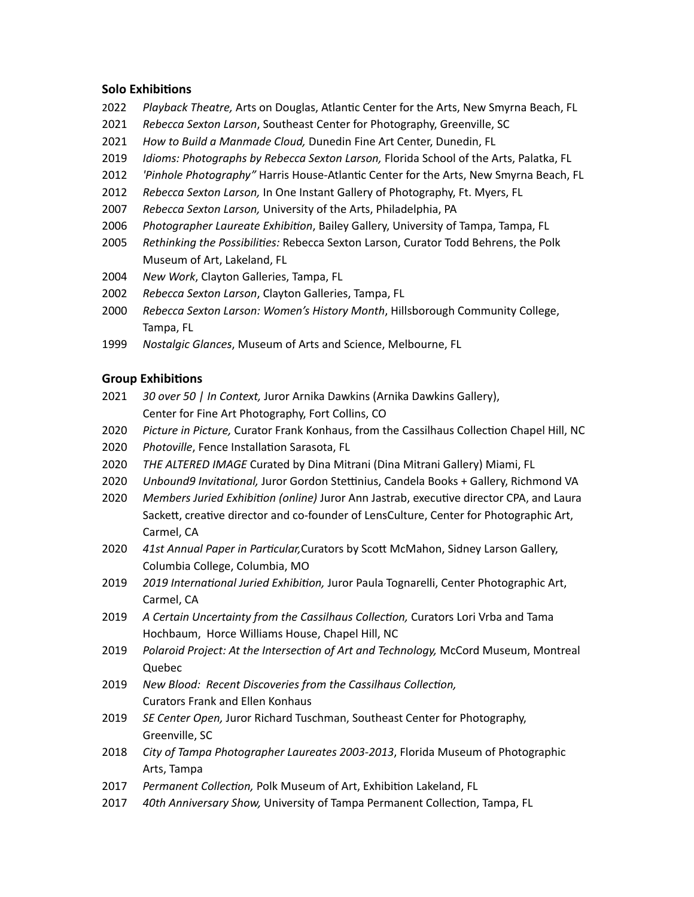## **Solo Exhibitions**

- 2022 Playback Theatre, Arts on Douglas, Atlantic Center for the Arts, New Smyrna Beach, FL
- 2021 Rebecca Sexton Larson, Southeast Center for Photography, Greenville, SC
- 2021 How to Build a Manmade Cloud, Dunedin Fine Art Center, Dunedin, FL
- 2019 *Idioms: Photographs by Rebecca Sexton Larson,* Florida School of the Arts, Palatka, FL
- 2012 *'Pinhole Photography"* Harris House-Atlantic Center for the Arts, New Smyrna Beach, FL
- 2012 Rebecca Sexton Larson, In One Instant Gallery of Photography, Ft. Myers, FL
- 2007 Rebecca Sexton Larson, University of the Arts, Philadelphia, PA
- 2006 Photographer Laureate Exhibition, Bailey Gallery, University of Tampa, Tampa, FL
- 2005 Rethinking the Possibilities: Rebecca Sexton Larson, Curator Todd Behrens, the Polk Museum of Art, Lakeland, FL
- 2004 New Work, Clayton Galleries, Tampa, FL
- 2002 Rebecca Sexton Larson, Clayton Galleries, Tampa, FL
- 2000 Rebecca Sexton Larson: Women's History Month, Hillsborough Community College, Tampa, FL
- 1999 Nostalgic Glances, Museum of Arts and Science, Melbourne, FL

#### **Group Exhibitions**

- 2021 *30 over 50 | In Context, Juror Arnika Dawkins (Arnika Dawkins Gallery),* Center for Fine Art Photography, Fort Collins, CO
- 2020 Picture in Picture, Curator Frank Konhaus, from the Cassilhaus Collection Chapel Hill, NC
- 2020 Photoville, Fence Installation Sarasota, FL
- 2020 THE ALTERED IMAGE Curated by Dina Mitrani (Dina Mitrani Gallery) Miami, FL
- 2020 *Unbound9 Invitational, Juror Gordon Stettinius, Candela Books* + Gallery, Richmond VA
- 2020 Members Juried Exhibition (online) Juror Ann Jastrab, executive director CPA, and Laura Sackett, creative director and co-founder of LensCulture, Center for Photographic Art, Carmel, CA
- 2020 41st Annual Paper in Particular, Curators by Scott McMahon, Sidney Larson Gallery, Columbia College, Columbia, MO
- 2019 *2019 International Juried Exhibition*, Juror Paula Tognarelli, Center Photographic Art, Carmel, CA
- 2019 A Certain Uncertainty from the Cassilhaus Collection, Curators Lori Vrba and Tama Hochbaum, Horce Williams House, Chapel Hill, NC
- 2019 *Polaroid Project: At the Intersection of Art and Technology,* McCord Museum, Montreal Quebec
- 2019 New Blood: Recent Discoveries from the Cassilhaus Collection, Curators Frank and Ellen Konhaus
- 2019 *SE Center Open, Juror Richard Tuschman, Southeast Center for Photography,* Greenville, SC
- 2018 *City of Tampa Photographer Laureates 2003-2013*, Florida Museum of Photographic Arts, Tampa
- 2017 Permanent Collection, Polk Museum of Art, Exhibition Lakeland, FL
- 2017 40th Anniversary Show, University of Tampa Permanent Collection, Tampa, FL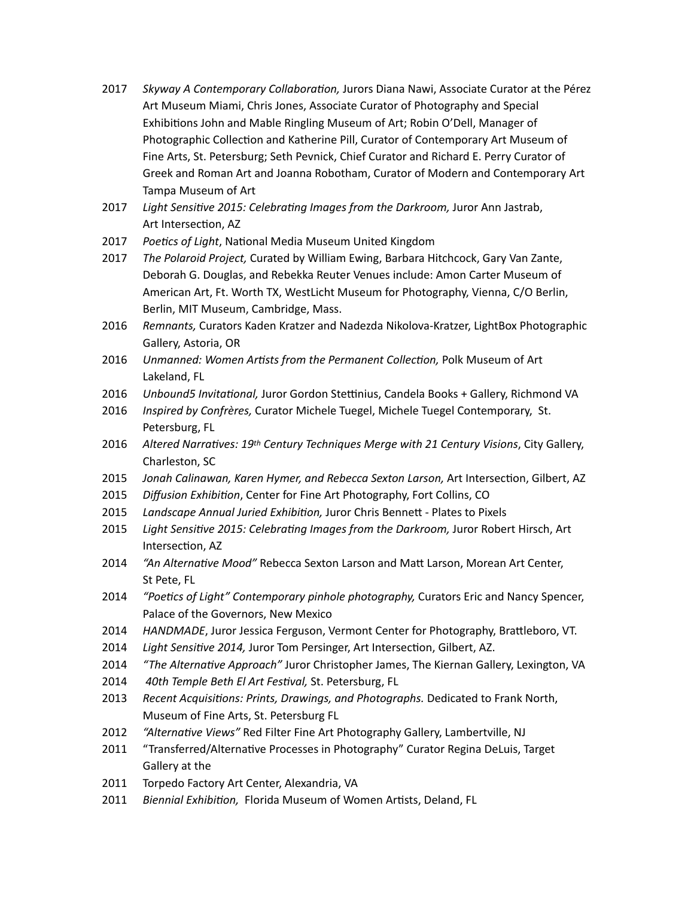- 2017 *Skyway A Contemporary Collaboration, Jurors Diana Nawi, Associate Curator at the Pérez* Art Museum Miami, Chris Jones, Associate Curator of Photography and Special Exhibitions John and Mable Ringling Museum of Art; Robin O'Dell, Manager of Photographic Collection and Katherine Pill, Curator of Contemporary Art Museum of Fine Arts, St. Petersburg; Seth Pevnick, Chief Curator and Richard E. Perry Curator of Greek and Roman Art and Joanna Robotham, Curator of Modern and Contemporary Art Tampa Museum of Art
- 2017 Light Sensitive 2015: Celebrating Images from the Darkroom, Juror Ann Jastrab, Art Intersection, AZ
- 2017 Poetics of Light, National Media Museum United Kingdom
- 2017 *The Polaroid Project,* Curated by William Ewing, Barbara Hitchcock, Gary Van Zante, Deborah G. Douglas, and Rebekka Reuter Venues include: Amon Carter Museum of American Art, Ft. Worth TX, WestLicht Museum for Photography, Vienna, C/O Berlin, Berlin, MIT Museum, Cambridge, Mass.
- 2016 *Remnants,* Curators Kaden Kratzer and Nadezda Nikolova-Kratzer, LightBox Photographic Gallery, Astoria, OR
- 2016 *Unmanned: Women Artists from the Permanent Collection, Polk Museum of Art* Lakeland, FL
- 2016 *Unbound5 Invitational, Juror Gordon Stettinius, Candela Books* + Gallery, Richmond VA
- 2016 *Inspired by Confrères,* Curator Michele Tuegel, Michele Tuegel Contemporary, St. Petersburg, FL
- 2016 Altered Narratives: 19th Century Techniques Merge with 21 Century Visions, City Gallery, Charleston, SC
- 2015 Jonah Calinawan, Karen Hymer, and Rebecca Sexton Larson, Art Intersection, Gilbert, AZ
- 2015 *Diffusion Exhibition*, Center for Fine Art Photography, Fort Collins, CO
- 2015 Landscape Annual Juried Exhibition, Juror Chris Bennett Plates to Pixels
- 2015 Light Sensitive 2015: Celebrating Images from the Darkroom, Juror Robert Hirsch, Art Intersection, AZ
- 2014 *"An Alternative Mood"* Rebecca Sexton Larson and Matt Larson, Morean Art Center, St Pete, FL
- 2014 *"Poetics of Light" Contemporary pinhole photography, Curators Eric and Nancy Spencer,* Palace of the Governors, New Mexico
- 2014 *HANDMADE*, Juror Jessica Ferguson, Vermont Center for Photography, Brattleboro, VT.
- 2014 Light Sensitive 2014, Juror Tom Persinger, Art Intersection, Gilbert, AZ.
- 2014 *"The Alternative Approach"* Juror Christopher James, The Kiernan Gallery, Lexington, VA
- 2014  *40th Temple Beth El Art Festival,* St. Petersburg, FL
- 2013 Recent Acquisitions: Prints, Drawings, and Photographs. Dedicated to Frank North, Museum of Fine Arts, St. Petersburg FL
- 2012 *"Alternative Views"* Red Filter Fine Art Photography Gallery, Lambertville, NJ
- 2011 "Transferred/Alternative Processes in Photography" Curator Regina DeLuis, Target Gallery at the
- 2011 Torpedo Factory Art Center, Alexandria, VA
- 2011 Biennial Exhibition, Florida Museum of Women Artists, Deland, FL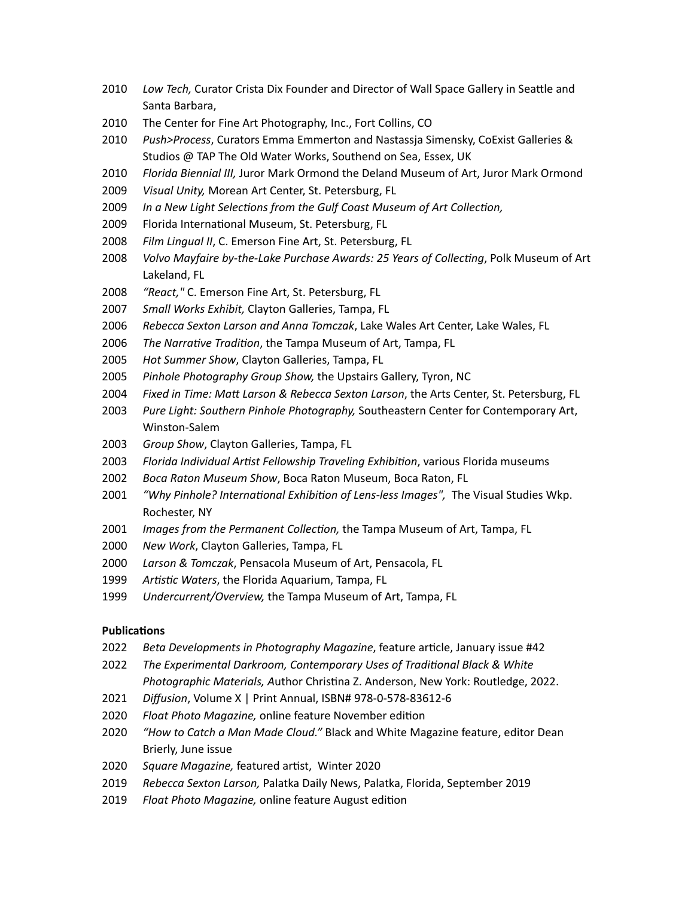- 2010 Low Tech, Curator Crista Dix Founder and Director of Wall Space Gallery in Seattle and Santa Barbara,
- 2010 The Center for Fine Art Photography, Inc., Fort Collins, CO
- 2010 Push>Process, Curators Emma Emmerton and Nastassia Simensky, CoExist Galleries & Studios @ TAP The Old Water Works, Southend on Sea, Essex, UK
- 2010 Florida Biennial III, Juror Mark Ormond the Deland Museum of Art, Juror Mark Ormond
- 2009 *Visual Unity, Morean Art Center, St. Petersburg, FL*
- 2009 *In a New Light Selections from the Gulf Coast Museum of Art Collection,*
- 2009 Florida International Museum, St. Petersburg, FL
- 2008 Film Lingual II, C. Emerson Fine Art, St. Petersburg, FL
- 2008 *Volvo Mayfaire by-the-Lake Purchase Awards: 25 Years of Collecting, Polk Museum of Art* Lakeland, FL
- 2008 "React," C. Emerson Fine Art, St. Petersburg, FL
- 2007 Small Works Exhibit, Clayton Galleries, Tampa, FL
- 2006 Rebecca Sexton Larson and Anna Tomczak, Lake Wales Art Center, Lake Wales, FL
- 2006 The Narrative Tradition, the Tampa Museum of Art, Tampa, FL
- 2005 Hot Summer Show, Clayton Galleries, Tampa, FL
- 2005 Pinhole Photography Group Show, the Upstairs Gallery, Tyron, NC
- 2004 *Fixed in Time: Matt Larson & Rebecca Sexton Larson*, the Arts Center, St. Petersburg, FL
- 2003 Pure Light: Southern Pinhole Photography, Southeastern Center for Contemporary Art, Winston-Salem
- 2003 Group Show, Clayton Galleries, Tampa, FL
- 2003 Florida Individual Artist Fellowship Traveling Exhibition, various Florida museums
- 2002 *Boca Raton Museum Show*, Boca Raton Museum, Boca Raton, FL
- 2001 *"Why Pinhole? International Exhibition of Lens-less Images", The Visual Studies Wkp.* Rochester, NY
- 2001 *Images from the Permanent Collection,* the Tampa Museum of Art, Tampa, FL
- 2000 New Work, Clayton Galleries, Tampa, FL
- 2000 Larson & Tomczak, Pensacola Museum of Art, Pensacola, FL
- 1999 Artistic Waters, the Florida Aquarium, Tampa, FL
- 1999 Undercurrent/Overview, the Tampa Museum of Art, Tampa, FL

#### **Publications**

- 2022 *Beta Developments in Photography Magazine*, feature article, January issue #42
- 2022 The Experimental Darkroom, Contemporary Uses of Traditional Black & White *Photographic Materials, Author Christina Z. Anderson, New York: Routledge, 2022.*
- 2021 *Diffusion*, Volume X | Print Annual, ISBN# 978-0-578-83612-6
- 2020 Float Photo Magazine, online feature November edition
- 2020 *"How to Catch a Man Made Cloud."* Black and White Magazine feature, editor Dean Brierly, June issue
- 2020 Square Magazine, featured artist, Winter 2020
- 2019 Rebecca Sexton Larson, Palatka Daily News, Palatka, Florida, September 2019
- 2019 *Float Photo Magazine,* online feature August edition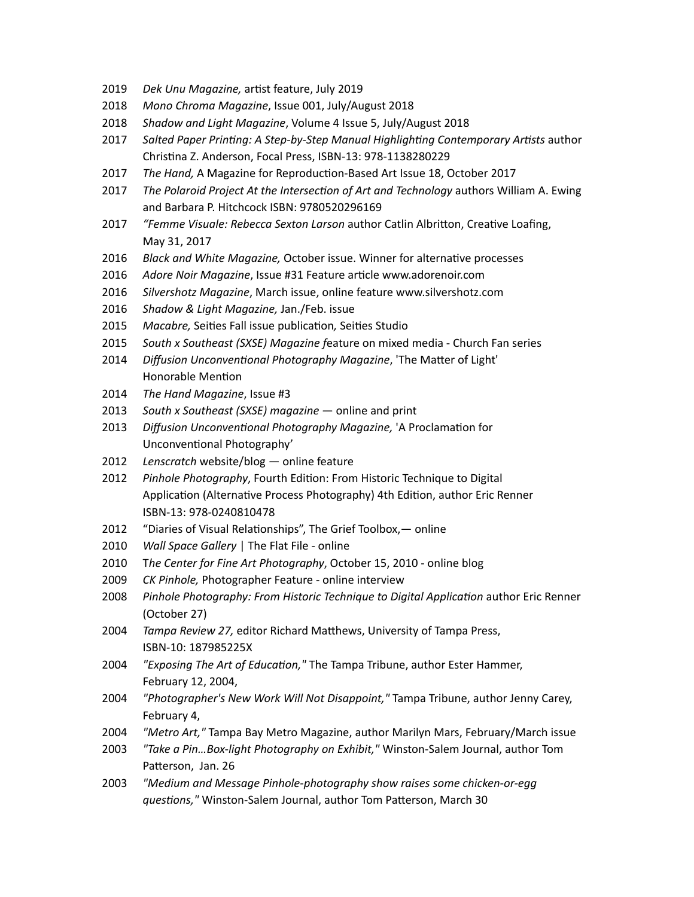- 2019 *Dek Unu Magazine*, artist feature, July 2019
- 2018 Mono Chroma Magazine, Issue 001, July/August 2018
- 2018 *Shadow and Light Magazine*, Volume 4 Issue 5, July/August 2018
- 2017 Salted Paper Printing: A Step-by-Step Manual Highlighting Contemporary Artists author Christina Z. Anderson, Focal Press, ISBN-13: 978-1138280229
- 2017 *The Hand,* A Magazine for Reproduction-Based Art Issue 18, October 2017
- 2017 The Polaroid Project At the Intersection of Art and Technology authors William A. Ewing and Barbara P. Hitchcock ISBN: 9780520296169
- 2017 *"Femme Visuale: Rebecca Sexton Larson* author Catlin Albritton, Creative Loafing, May 31, 2017
- 2016 *Black and White Magazine,* October issue. Winner for alternative processes
- 2016 Adore Noir Magazine, Issue #31 Feature article www.adorenoir.com
- 2016 Silvershotz Magazine, March issue, online feature www.silvershotz.com
- 2016 *Shadow & Light Magazine,* Jan./Feb. issue
- 2015 *Macabre,* Seities Fall issue publication*,* Seities Studio
- 2015 *South x Southeast (SXSE) Magazine feature on mixed media Church Fan series*
- 2014 *Diffusion Unconventional Photography Magazine*, 'The Matter of Light' Honorable Mention
- 2014 The Hand Magazine, Issue #3
- 2013 South x Southeast (SXSE) magazine online and print
- 2013 *Diffusion Unconventional Photography Magazine*, 'A Proclamation for Unconventional Photography'
- 2012 Lenscratch website/blog online feature
- 2012 Pinhole Photography, Fourth Edition: From Historic Technique to Digital Application (Alternative Process Photography) 4th Edition, author Eric Renner ISBN-13: 978-0240810478
- 2012 "Diaries of Visual Relationships", The Grief Toolbox, online
- 2010 *Wall Space Gallery* | The Flat File online
- 2010 The Center for Fine Art Photography, October 15, 2010 online blog
- 2009 CK Pinhole, Photographer Feature online interview
- 2008 Pinhole Photography: From Historic Technique to Digital Application author Eric Renner (October 27)
- 2004 *Tampa Review 27, editor Richard Matthews, University of Tampa Press,*  ISBN-10: 187985225X
- 2004 *"Exposing The Art of Education,"* The Tampa Tribune, author Ester Hammer, February 12, 2004,
- 2004 *"Photographer's New Work Will Not Disappoint,"* Tampa Tribune, author Jenny Carey, February 4,
- 2004 *"Metro Art,"* Tampa Bay Metro Magazine, author Marilyn Mars, February/March issue
- 2003 *"Take a Pin...Box-light Photography on Exhibit,"* Winston-Salem Journal, author Tom Patterson, Jan. 26
- 2003 *"Medium and Message Pinhole-photography show raises some chicken-or-egg questions,*" Winston-Salem Journal, author Tom Patterson, March 30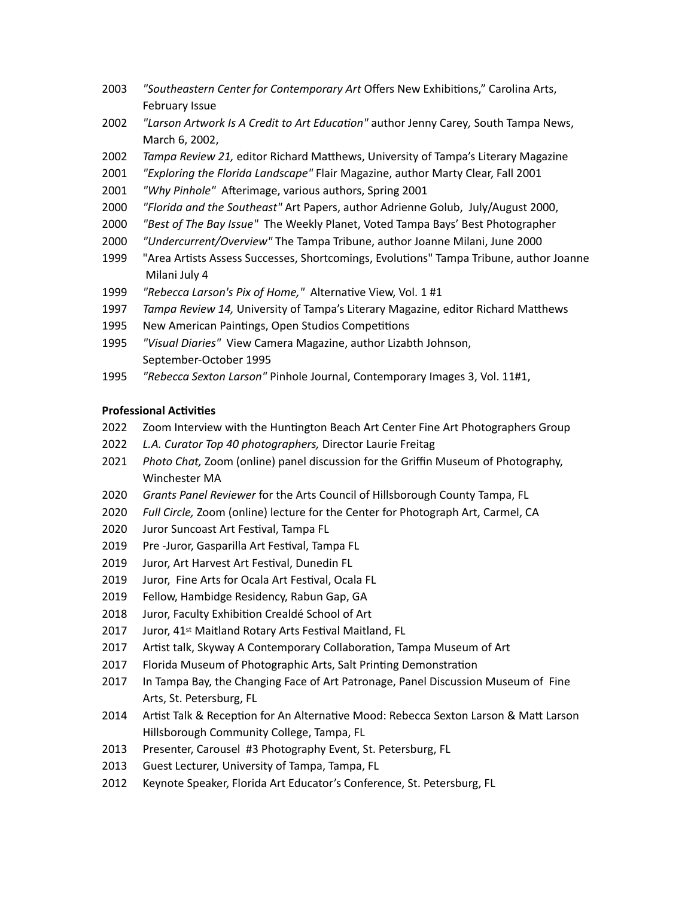- 2003 *"Southeastern Center for Contemporary Art* Offers New Exhibitions," Carolina Arts, February Issue
- 2002 *"Larson Artwork Is A Credit to Art Education"* author Jenny Carey, South Tampa News, March 6, 2002,
- 2002 *Tampa Review 21, editor Richard Matthews, University of Tampa's Literary Magazine*
- 2001 *"Exploring the Florida Landscape"* Flair Magazine, author Marty Clear, Fall 2001
- 2001 *"Why Pinhole"* Afterimage, various authors, Spring 2001
- 2000 *"Florida and the Southeast"* Art Papers, author Adrienne Golub, July/August 2000,
- 2000 *"Best of The Bay Issue"* The Weekly Planet, Voted Tampa Bays' Best Photographer
- 2000 *"Undercurrent/Overview"* The Tampa Tribune, author Joanne Milani, June 2000
- 1999 "Area Artists Assess Successes, Shortcomings, Evolutions" Tampa Tribune, author Joanne Milani July 4
- 1999 *"Rebecca Larson's Pix of Home,"* Alternative View, Vol. 1 #1
- 1997 *Tampa Review 14,* University of Tampa's Literary Magazine, editor Richard Matthews
- 1995 New American Paintings, Open Studios Competitions
- 1995 *"Visual Diaries"* View Camera Magazine, author Lizabth Johnson, September-October 1995
- 1995 *"Rebecca Sexton Larson"* Pinhole Journal, Contemporary Images 3, Vol. 11#1,

#### **Professional Activities**

- 2022 Zoom Interview with the Huntington Beach Art Center Fine Art Photographers Group
- 2022 *L.A. Curator Top 40 photographers,* Director Laurie Freitag
- 2021 Photo Chat, Zoom (online) panel discussion for the Griffin Museum of Photography, Winchester MA
- 2020 *Grants Panel Reviewer* for the Arts Council of Hillsborough County Tampa, FL
- 2020 Full Circle, Zoom (online) lecture for the Center for Photograph Art, Carmel, CA
- 2020 Juror Suncoast Art Festival, Tampa FL
- 2019 Pre -Juror, Gasparilla Art Festival, Tampa FL
- 2019 Juror, Art Harvest Art Festival, Dunedin FL
- 2019 Juror, Fine Arts for Ocala Art Festival, Ocala FL
- 2019 Fellow, Hambidge Residency, Rabun Gap, GA
- 2018 Juror, Faculty Exhibition Crealdé School of Art
- 2017 Juror, 41<sup>st</sup> Maitland Rotary Arts Festival Maitland, FL
- 2017 Artist talk, Skyway A Contemporary Collaboration, Tampa Museum of Art
- 2017 Florida Museum of Photographic Arts, Salt Printing Demonstration
- 2017 In Tampa Bay, the Changing Face of Art Patronage, Panel Discussion Museum of Fine Arts, St. Petersburg, FL
- 2014 Artist Talk & Reception for An Alternative Mood: Rebecca Sexton Larson & Matt Larson Hillsborough Community College, Tampa, FL
- 2013 Presenter, Carousel #3 Photography Event, St. Petersburg, FL
- 2013 Guest Lecturer, University of Tampa, Tampa, FL
- 2012 Keynote Speaker, Florida Art Educator's Conference, St. Petersburg, FL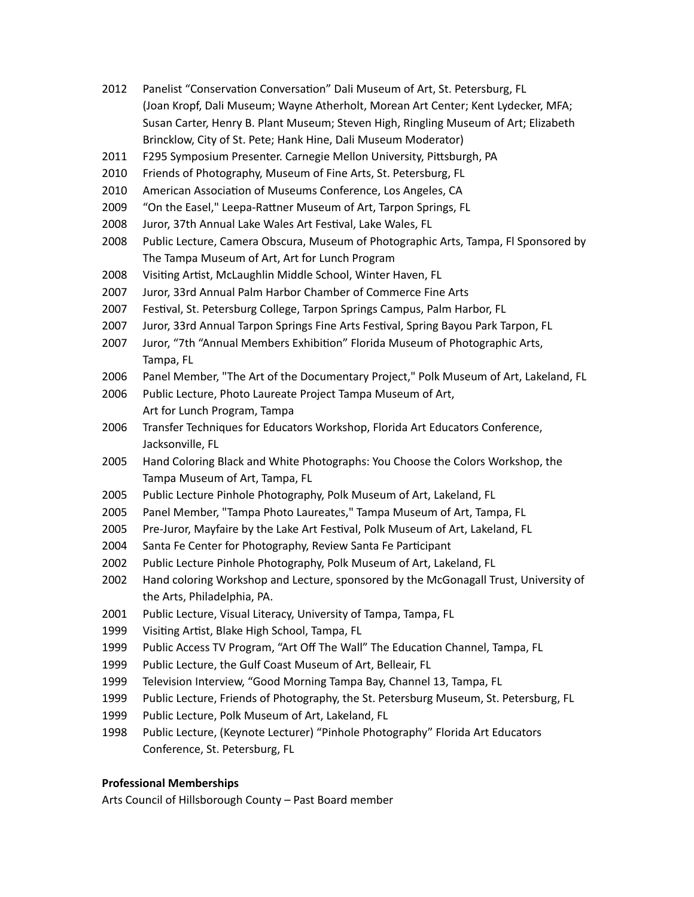- 2012 Panelist "Conservation Conversation" Dali Museum of Art, St. Petersburg, FL (Joan Kropf, Dali Museum; Wayne Atherholt, Morean Art Center; Kent Lydecker, MFA; Susan Carter, Henry B. Plant Museum; Steven High, Ringling Museum of Art; Elizabeth Brincklow, City of St. Pete; Hank Hine, Dali Museum Moderator)
- 2011 F295 Symposium Presenter. Carnegie Mellon University, Pittsburgh, PA
- 2010 Friends of Photography, Museum of Fine Arts, St. Petersburg, FL
- 2010 American Association of Museums Conference, Los Angeles, CA
- 2009 "On the Easel," Leepa-Rattner Museum of Art, Tarpon Springs, FL
- 2008 Juror, 37th Annual Lake Wales Art Festival, Lake Wales, FL
- 2008 Public Lecture, Camera Obscura, Museum of Photographic Arts, Tampa, FI Sponsored by The Tampa Museum of Art, Art for Lunch Program
- 2008 Visiting Artist, McLaughlin Middle School, Winter Haven, FL
- 2007 Juror, 33rd Annual Palm Harbor Chamber of Commerce Fine Arts
- 2007 Festival, St. Petersburg College, Tarpon Springs Campus, Palm Harbor, FL
- 2007 Juror, 33rd Annual Tarpon Springs Fine Arts Festival, Spring Bayou Park Tarpon, FL
- 2007 Juror, "7th "Annual Members Exhibition" Florida Museum of Photographic Arts, Tampa, FL
- 2006 Panel Member, "The Art of the Documentary Project," Polk Museum of Art, Lakeland, FL
- 2006 Public Lecture, Photo Laureate Project Tampa Museum of Art, Art for Lunch Program, Tampa
- 2006 Transfer Techniques for Educators Workshop, Florida Art Educators Conference, Jacksonville, FL
- 2005 Hand Coloring Black and White Photographs: You Choose the Colors Workshop, the Tampa Museum of Art, Tampa, FL
- 2005 Public Lecture Pinhole Photography, Polk Museum of Art, Lakeland, FL
- 2005 Panel Member, "Tampa Photo Laureates," Tampa Museum of Art, Tampa, FL
- 2005 Pre-Juror, Mayfaire by the Lake Art Festival, Polk Museum of Art, Lakeland, FL
- 2004 Santa Fe Center for Photography, Review Santa Fe Participant
- 2002 Public Lecture Pinhole Photography, Polk Museum of Art, Lakeland, FL
- 2002 Hand coloring Workshop and Lecture, sponsored by the McGonagall Trust, University of the Arts, Philadelphia, PA.
- 2001 Public Lecture, Visual Literacy, University of Tampa, Tampa, FL
- 1999 Visiting Artist, Blake High School, Tampa, FL
- 1999 Public Access TV Program, "Art Off The Wall" The Education Channel, Tampa, FL
- 1999 Public Lecture, the Gulf Coast Museum of Art, Belleair, FL
- 1999 Television Interview, "Good Morning Tampa Bay, Channel 13, Tampa, FL
- 1999 Public Lecture, Friends of Photography, the St. Petersburg Museum, St. Petersburg, FL
- 1999 Public Lecture, Polk Museum of Art, Lakeland, FL
- 1998 Public Lecture, (Keynote Lecturer) "Pinhole Photography" Florida Art Educators Conference, St. Petersburg, FL

# **Professional Memberships**

Arts Council of Hillsborough County – Past Board member